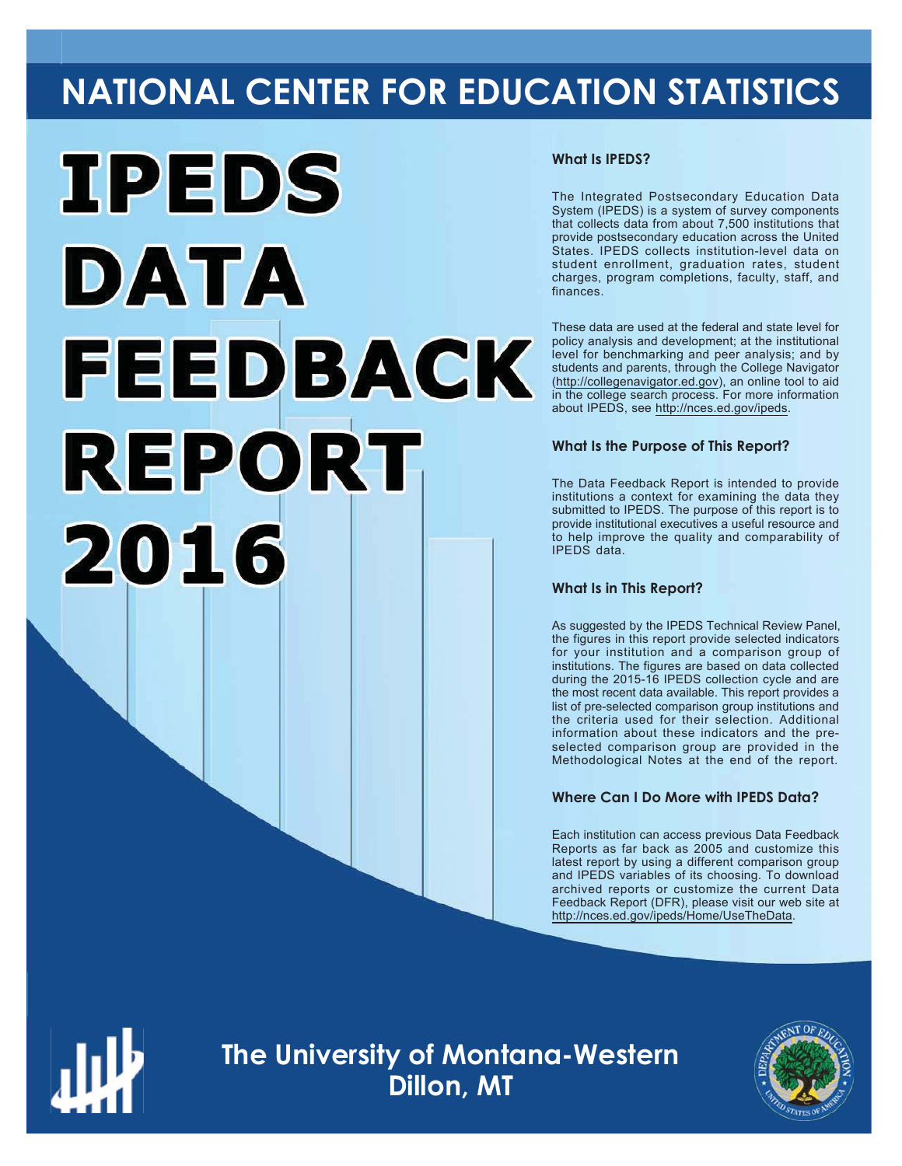# **NATIONAL CENTER FOR EDUCATION STATISTICS**



#### **What Is IPEDS?**

The Integrated Postsecondary Education Data System (IPEDS) is a system of survey components that collects data from about 7,500 institutions that provide postsecondary education across the United States. IPEDS collects institution-level data on student enrollment, graduation rates, student charges, program completions, faculty, staff, and finances.

These data are used at the federal and state level for policy analysis and development; at the institutional level for benchmarking and peer analysis; and by students and parents, through the College Navigator (http://collegenavigator.ed.gov), an online tool to aid in the college search process. For more information about IPEDS, see http://nces.ed.gov/ipeds.

#### **What Is the Purpose of This Report?**

The Data Feedback Report is intended to provide institutions a context for examining the data they submitted to IPEDS. The purpose of this report is to provide institutional executives a useful resource and to help improve the quality and comparability of  $IPFDS$  data

#### **What Is in This Report?**

As suggested by the IPEDS Technical Review Panel, the figures in this report provide selected indicators for your institution and a comparison group of institutions. The figures are based on data collected during the 2015-16 IPEDS collection cycle and are the most recent data available. This report provides a list of pre-selected comparison group institutions and the criteria used for their selection. Additional information about these indicators and the preselected comparison group are provided in the Methodological Notes at the end of the report.

### **Where Can I Do More with IPEDS Data?**

Each institution can access previous Data Feedback Reports as far back as  $2005$  and customize this latest report by using a different comparison group and IPEDS variables of its choosing. To download archived reports or customize the current Data Feedback Report (DFR), please visit our web site at http://nces.ed.gov/ipeds/Home/UseTheData.



Image description. Cover Image End of image description.

**The University of Montana-Western Dillon, MT**

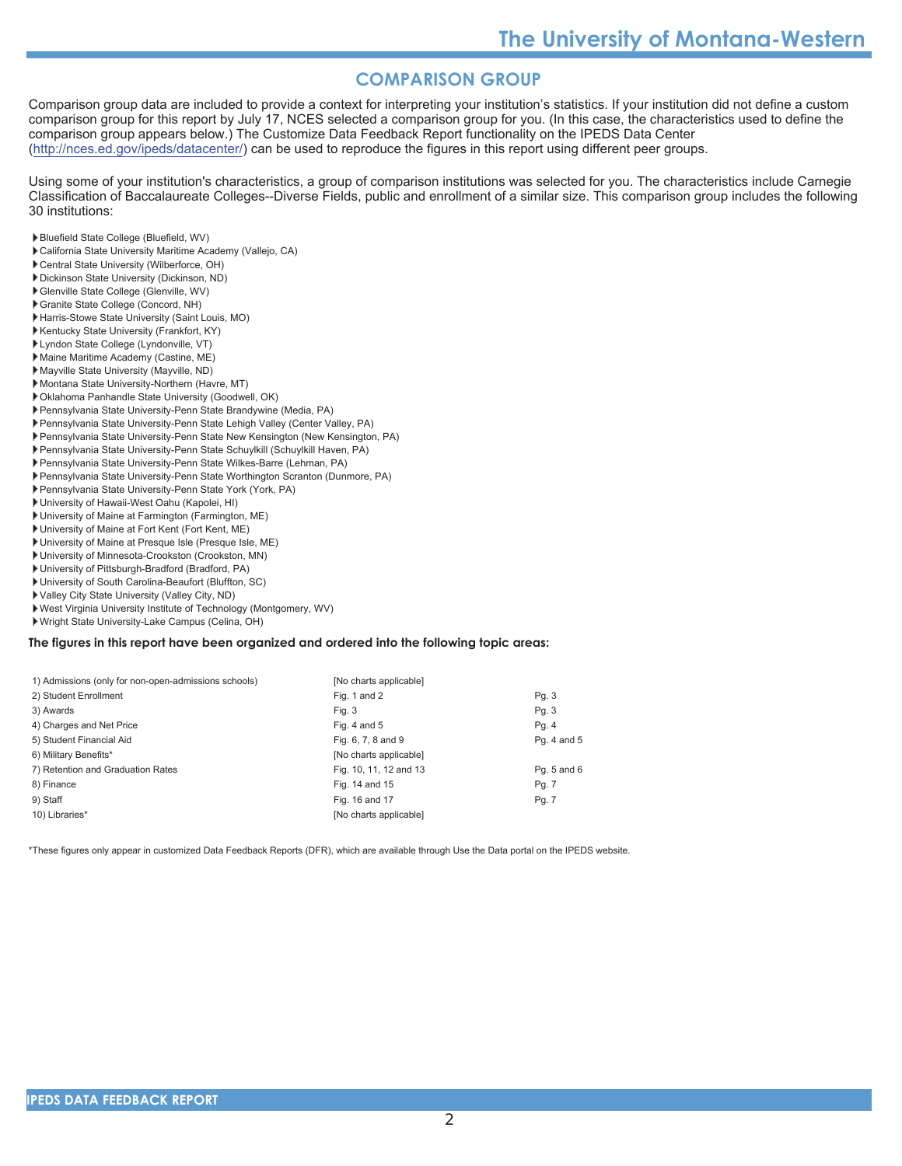# **COMPARISON GROUP**

Comparison group data are included to provide a context for interpreting your institution's statistics. If your institution did not define a custom comparison group for this report by July 17, NCES selected a comparison group for you. (In this case, the characteristics used to define the comparison group appears below.) The Customize Data Feedback Report functionality on the IPEDS Data Center (http://nces.ed.gov/ipeds/datacenter/) can be used to reproduce the figures in this report using different peer groups.

Using some of your institution's characteristics, a group of comparison institutions was selected for you. The characteristics include Carnegie Classification of Baccalaureate Colleges--Diverse Fields, public and enrollment of a similar size. This comparison group includes the following 30 institutions:

- Bluefield State College (Bluefield, WV)
- California State University Maritime Academy (Vallejo, CA)
- Central State University (Wilberforce, OH)
- Dickinson State University (Dickinson, ND)
- Glenville State College (Glenville, WV)
- Granite State College (Concord, NH)
- Harris-Stowe State University (Saint Louis, MO)
- Kentucky State University (Frankfort, KY)
- Lyndon State College (Lyndonville, VT)
- Maine Maritime Academy (Castine, ME)
- Mayville State University (Mayville, ND)
- Montana State University-Northern (Havre, MT)
- Oklahoma Panhandle State University (Goodwell, OK)
- Pennsylvania State University-Penn State Brandywine (Media, PA)
- Pennsylvania State University-Penn State Lehigh Valley (Center Valley, PA)
- Pennsylvania State University-Penn State New Kensington (New Kensington, PA)
- Pennsylvania State University-Penn State Schuylkill (Schuylkill Haven, PA)
- Pennsylvania State University-Penn State Wilkes-Barre (Lehman, PA)
- Pennsylvania State University-Penn State Worthington Scranton (Dunmore, PA)
- Pennsylvania State University-Penn State York (York, PA)
- University of Hawaii-West Oahu (Kapolei, HI)
- University of Maine at Farmington (Farmington, ME)
- University of Maine at Fort Kent (Fort Kent, ME)
- University of Maine at Presque Isle (Presque Isle, ME)
- University of Minnesota-Crookston (Crookston, MN)
- University of Pittsburgh-Bradford (Bradford, PA)
- University of South Carolina-Beaufort (Bluffton, SC)
- Valley City State University (Valley City, ND)
- West Virginia University Institute of Technology (Montgomery, WV)
- ▶ Wright State University-Lake Campus (Celina, OH)

#### The figures in this report have been organized and ordered into the following topic areas:

| 1) Admissions (only for non-open-admissions schools) | [No charts applicable] |                 |
|------------------------------------------------------|------------------------|-----------------|
| 2) Student Enrollment                                | Fig. 1 and 2           | Pg. 3           |
| 3) Awards                                            | Fig. 3                 | Pg. 3           |
| 4) Charges and Net Price                             | Fig. 4 and $5$         | Pg. 4           |
| 5) Student Financial Aid                             | Fig. 6, 7, 8 and 9     | Pg. 4 and 5     |
| 6) Military Benefits*                                | [No charts applicable] |                 |
| 7) Retention and Graduation Rates                    | Fig. 10, 11, 12 and 13 | Pq. $5$ and $6$ |
| 8) Finance                                           | Fig. 14 and 15         | Pg. 7           |
| 9) Staff                                             | Fig. 16 and 17         | Pg. 7           |
| 10) Libraries*                                       | [No charts applicable] |                 |

\*These figures only appear in customized Data Feedback Reports (DFR), which are available through Use the Data portal on the IPEDS website.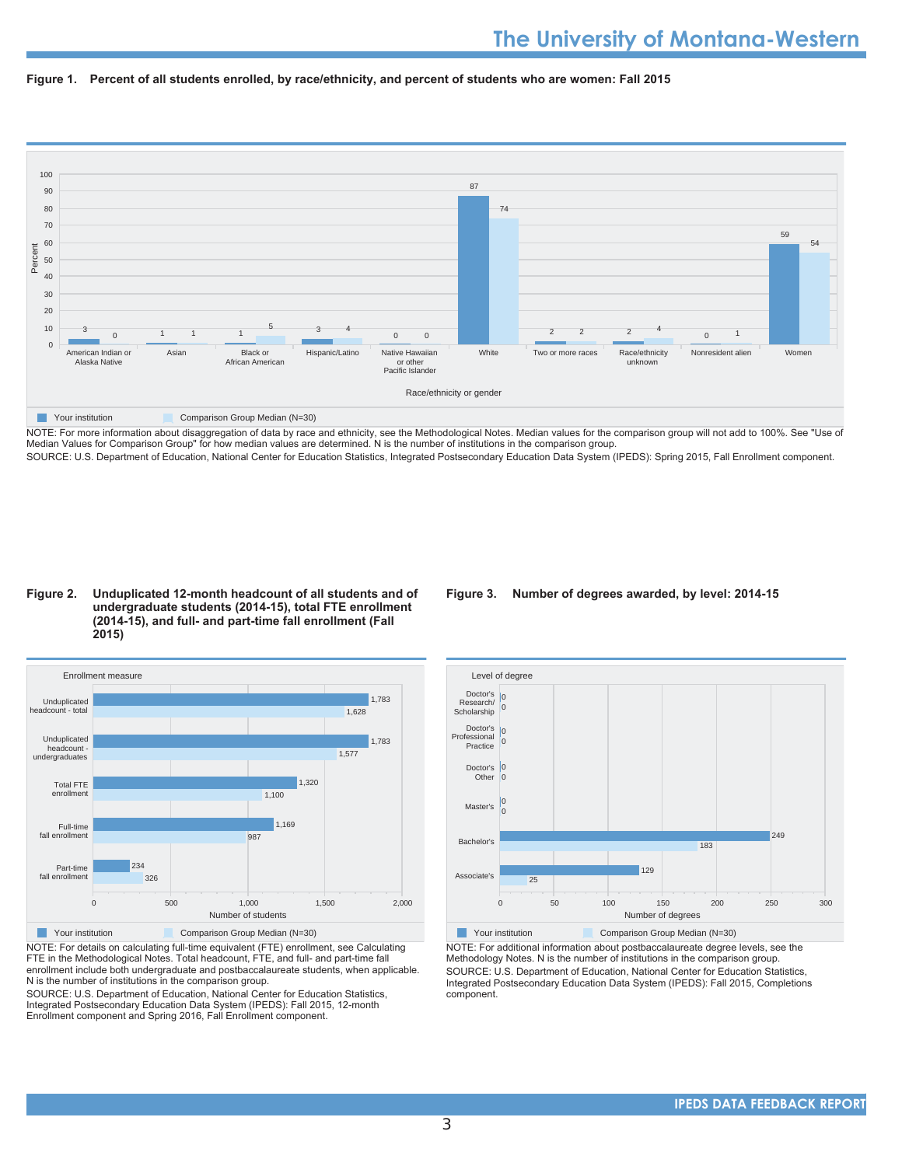



NOTE: For more information about disaggregation of data by race and ethnicity, see the Methodological Notes. Median values for the comparison group will not add to 100%. See "Use of Median Values for Comparison Group" for how median values are determined. N is the number of institutions in the comparison group. SOURCE: U.S. Department of Education, National Center for Education Statistics, Integrated Postsecondary Education Data System (IPEDS): Spring 2015, Fall Enrollment component.

#### Figure 2. Unduplicated 12-month headcount of all students and of undergraduate students (2014-15), total FTE enrollment (2014-15), and full- and part-time fall enrollment (Fall



NOTE: For details on calculating full-time equivalent (FTE) enrollment, see Calculating FTE in the Methodological Notes. Total headcount, FTE, and full- and part-time fall enrollment include both undergraduate and postbaccalaureate students, when applicable N is the number of institutions in the comparison group.

SOURCE: U.S. Department of Education, National Center for Education Statistics, Integrated Postsecondary Education Data System (IPEDS): Fall 2015, 12-month Enrollment component and Spring 2016, Fall Enrollment component.

#### Figure 3. Number of degrees awarded, by level: 2014-15



NOTE: For additional information about postbaccalaureate degree levels, see the Methodology Notes. N is the number of institutions in the comparison group. SOURCE: U.S. Department of Education, National Center for Education Statistics, Integrated Postsecondary Education Data System (IPEDS): Fall 2015, Completions component.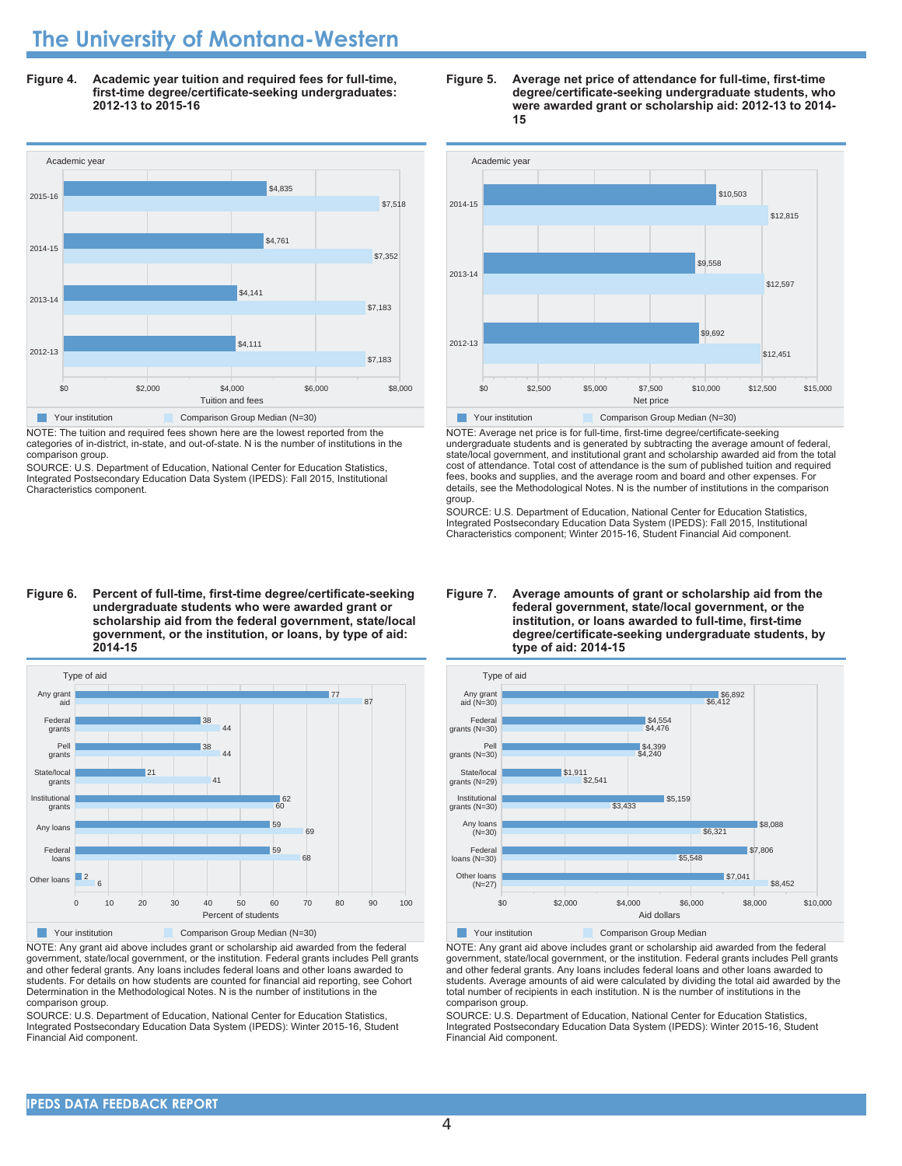# **The University of Montana-Western**

Figure 4. Academic year tuition and required fees for full-time, first-time degree/certificate-seeking undergraduates: 2012-13 to 2015-16



NOTE: The tuition and required fees shown here are the lowest reported from the categories of in-district, in-state, and out-of-state. N is the number of institutions in the comparison group.

SOURCE: U.S. Department of Education, National Center for Education Statistics Integrated Postsecondary Education Data System (IPEDS): Fall 2015, Institutional Characteristics component.

# Academic year 2014-15 \$12,815 \$10,503

Figure 5. Average net price of attendance for full-time, first-time

15

degree/certificate-seeking undergraduate students, who were awarded grant or scholarship aid: 2012-13 to 2014-



NOTE: Average net price is for full-time, first-time degree/certificate-seeking

undergraduate students and is generated by subtracting the average amount of federal, state/local government, and institutional grant and scholarship awarded aid from the total cost of attendance. Total cost of attendance is the sum of published tuition and required fees, books and supplies, and the average room and board and other expenses. For details, see the Methodological Notes. N is the number of institutions in the comparison aroup.

SOURCE: U.S. Department of Education, National Center for Education Statistics, Integrated Postsecondary Education Data System (IPEDS): Fall 2015, Institutional Characteristics component; Winter 2015-16, Student Financial Aid component.

# undergraduate students who were awarded grant or scholarship aid from the federal government, state/local government, or the institution, or loans, by type of aid: 2014-15

Figure 6. Percent of full-time, first-time degree/certificate-seeking



NOTE: Any grant aid above includes grant or scholarship aid awarded from the federal government, state/local government, or the institution. Federal grants includes Pell grants and other federal grants. Any loans includes federal loans and other loans awarded to students. For details on how students are counted for financial aid reporting, see Cohort Determination in the Methodological Notes. N is the number of institutions in the comparison group.

SOURCE: U.S. Department of Education, National Center for Education Statistics, Integrated Postsecondary Education Data System (IPEDS): Winter 2015-16, Student Financial Aid component.

#### Figure 7. Average amounts of grant or scholarship aid from the federal government, state/local government, or the institution, or loans awarded to full-time, first-time degree/certificate-seeking undergraduate students, by type of aid: 2014-15



NOTE: Any grant aid above includes grant or scholarship aid awarded from the federal government, state/local government, or the institution. Federal grants includes Pell grants and other federal grants. Any loans includes federal loans and other loans awarded to students. Average amounts of aid were calculated by dividing the total aid awarded by the total number of recipients in each institution. N is the number of institutions in the comparison group.

SOURCE: U.S. Department of Education, National Center for Education Statistics. Integrated Postsecondary Education Data System (IPEDS): Winter 2015-16, Student Financial Aid component.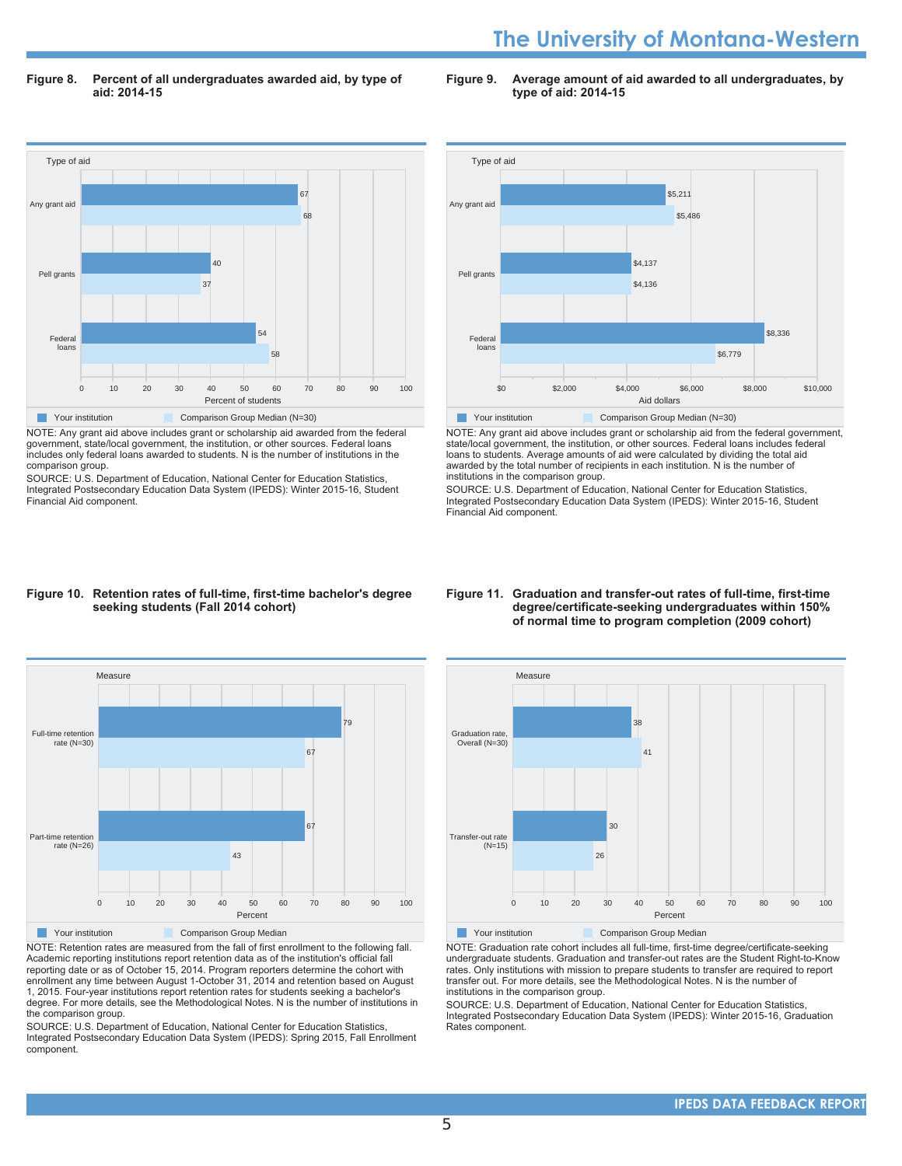# **The University of Montana-Western**

Figure 8. Percent of all undergraduates awarded aid, by type of aid: 2014-15

Figure 9. Average amount of aid awarded to all undergraduates, by **type of aid: 2014-15** 



NOTE: Any grant aid above includes grant or scholarship aid awarded from the federal government, state/local government, the institution, or other sources. Federal loans includes only federal loans awarded to students. N is the number of institutions in the comparison group.

SOURCE: U.S. Department of Education, National Center for Education Statistics, Integrated Postsecondary Education Data System (IPEDS): Winter 2015-16, Student Financial Aid component.



NOTE: Any grant aid above includes grant or scholarship aid from the federal government, state/local government, the institution, or other sources. Federal loans includes federal loans to students. Average amounts of aid were calculated by dividing the total aid awarded by the total number of recipients in each institution. N is the number of institutions in the comparison group.

SOURCE: U.S. Department of Education, National Center for Education Statistics, Integrated Postsecondary Education Data System (IPEDS): Winter 2015-16, Student Financial Aid component

#### Figure 10. Retention rates of full-time, first-time bachelor's degree seeking students (Fall 2014 cohort)



NOTE: Retention rates are measured from the fall of first enrollment to the following fall. Academic reporting institutions report retention data as of the institution's official fall reporting date or as of October 15, 2014. Program reporters determine the cohort with enrollment any time between August 1-October 31, 2014 and retention based on August 1, 2015. Four-year institutions report retention rates for students seeking a bachelor's Gegree. For more details, see the Methodological Notes. N is the number of institutions in the comparison group.

SOURCE: U.S. Department of Education, National Center for Education Statistics, Integrated Postsecondary Education Data System (IPEDS): Spring 2015, Fall Enrollment component.

#### Figure 11. Graduation and transfer-out rates of full-time, first-time degree/certificate-seeking undergraduates within 150% of normal time to program completion (2009 cohort)



NOTE: Graduation rate cohort includes all full-time, first-time degree/certificate-seeking undergraduate students. Graduation and transfer-out rates are the Student Right-to-Know rates. Only institutions with mission to prepare students to transfer are required to report transfer out. For more details, see the Methodological Notes. N is the number of institutions in the comparison group.

SOURCE: U.S. Department of Education, National Center for Education Statistics, Integrated Postsecondary Education Data System (IPEDS): Winter 2015-16, Graduation Rates component.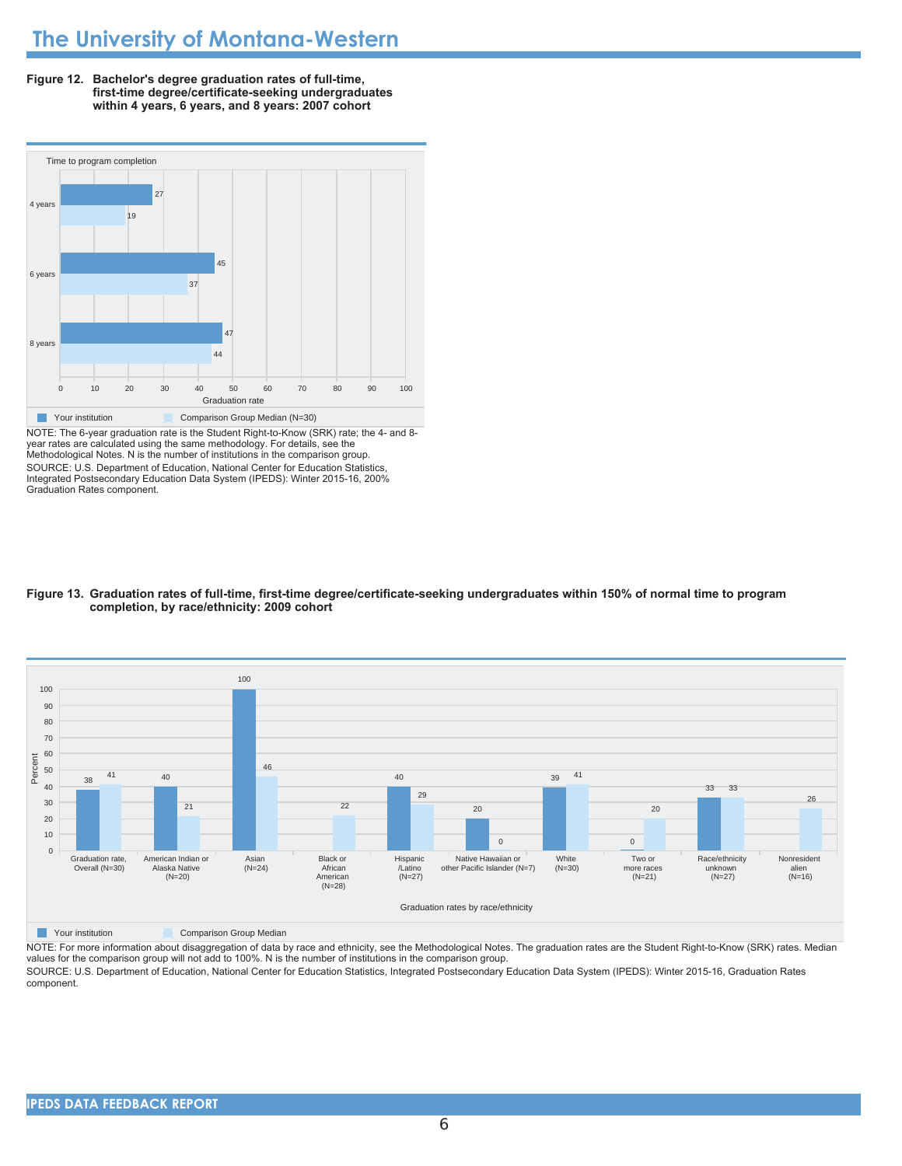



NOTE: The 6-year graduation rate is the Student Right-to-Know (SRK) rate; the 4- and 8year rates are calculated using the same methodology. For details, see the<br>Methodological Notes. N is the number of institutions in the comparison group. SOURCE: U.S. Department of Education, National Center for Education Statistics Integrated Postsecondary Education Data System (IPEDS): Winter 2015-16, 200% Graduation Rates component.

#### Figure 13. Graduation rates of full-time, first-time degree/certificate-seeking undergraduates within 150% of normal time to program completion, by race/ethnicity: 2009 cohort



**Nour institution Comparison Group Median** 

NOTE: For more information about disaggregation of data by race and ethnicity, see the Methodological Notes. The graduation rates are the Student Right-to-Know (SRK) rates. Median values for the comparison group will not add to 100%. N is the number of institutions in the comparison group.

SOURCE: U.S. Department of Education, National Center for Education Statistics, Integrated Postsecondary Education Data System (IPEDS): Winter 2015-16, Graduation Rates component.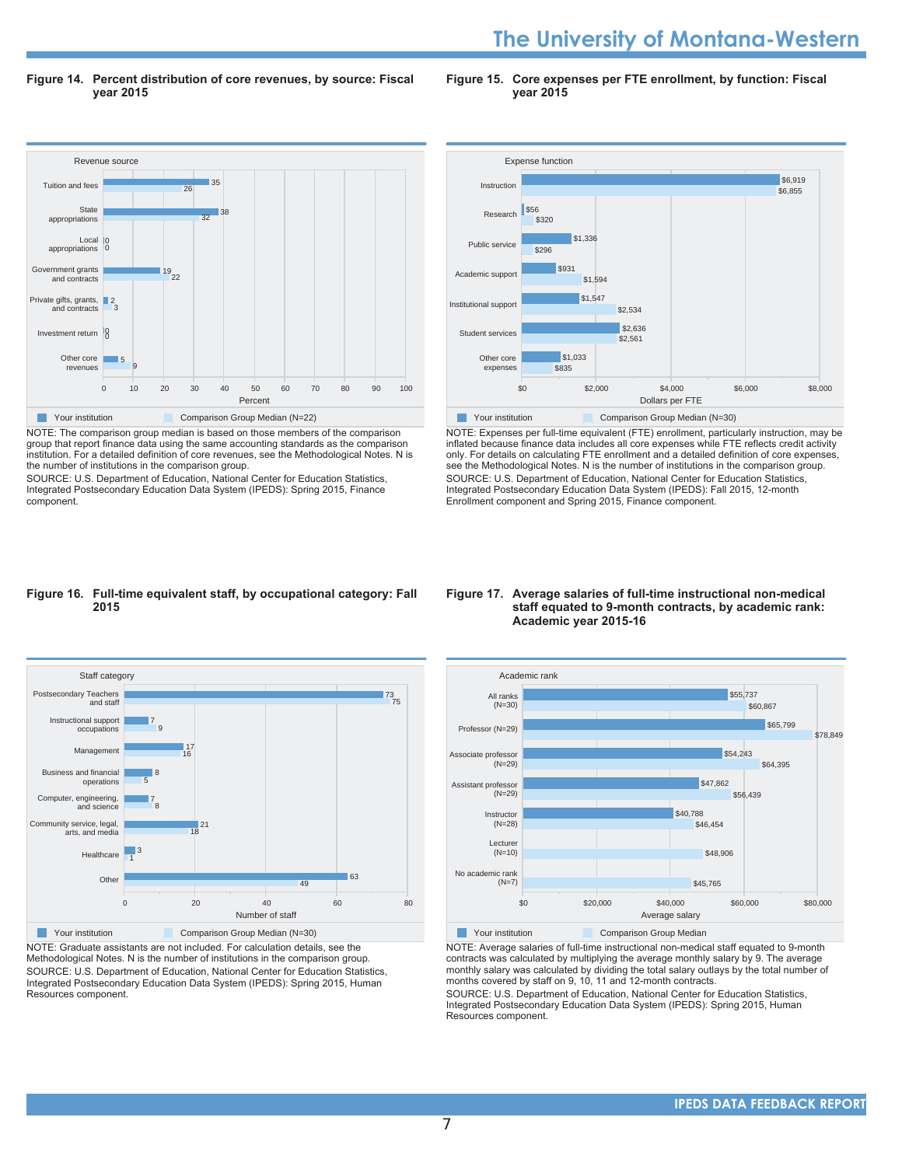# **The University of Montana-Western**

Figure 14. Percent distribution of core revenues, by source: Fiscal **vear 2015** 

Figure 15. Core expenses per FTE enrollment, by function: Fiscal **vear 2015** 



NOTE: The comparison group median is based on those members of the comparison group that report finance data using the same accounting standards as the comparison institution. For a detailed definition of core revenues, see the Methodological Notes. N is the number of institutions in the comparison group.

SOURCE: U.S. Department of Education, National Center for Education Statistics, Integrated Postsecondary Education Data System (IPEDS): Spring 2015, Finance component.



NOTE: Expenses per full-time equivalent (FTE) enrollment, particularly instruction, may be inflated because finance data includes all core expenses while FTE reflects credit activity only. For details on calculating FTE enrollment and a detailed definition of core expenses, see the Methodological Notes. N is the number of institutions in the comparison group. SOURCE: U.S. Department of Education, National Center for Education Statistics, Integrated Postsecondary Education Data System (IPEDS): Fall 2015, 12-month Enrollment component and Spring 2015, Finance component.

#### Figure 16. Full-time equivalent staff, by occupational category: Fall 2015



NOTE: Graduate assistants are not included. For calculation details, see the Methodological Notes. N is the number of institutions in the comparison group. SOURCE: U.S. Department of Education, National Center for Education Statistics, Integrated Postsecondary Education Data System (IPEDS): Spring 2015, Human Resources component.

#### Figure 17. Average salaries of full-time instructional non-medical staff equated to 9-month contracts, by academic rank: **Academic year 2015-16**



NOTE: Average salaries of full-time instructional non-medical staff equated to 9-month contracts was calculated by multiplying the average monthly salary by 9. The average monthly salary was calculated by dividing the total salary outlays by the total number of months covered by staff on 9, 10, 11 and 12-month contracts.

SOURCE: U.S. Department of Education, National Center for Education Statistics, Integrated Postsecondary Education Data System (IPEDS): Spring 2015, Human Resources component.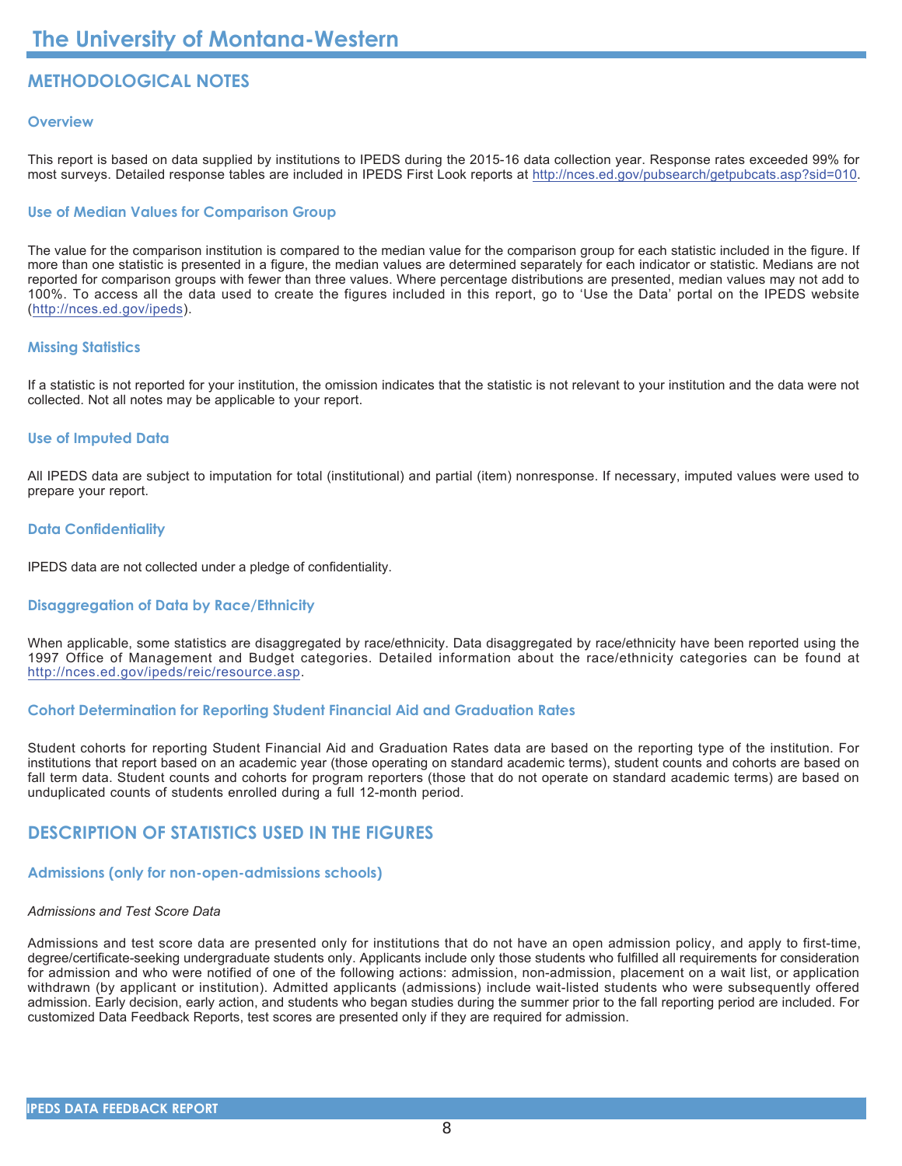# **METHODOLOGICAL NOTES**

#### Overview

This report is based on data supplied by institutions to IPEDS during the 2015-16 data collection year. Response rates exceeded 99% for most surveys. Detailed response tables are included in IPEDS First Look reports at http://nces.ed.gov/pubsearch/getpubcats.asp?sid=010.

#### **Use of Median Values for Comparison Group**

The value for the comparison institution is compared to the median value for the comparison group for each statistic included in the figure. If more than one statistic is presented in a figure, the median values are determined separately for each indicator or statistic. Medians are not reported for comparison groups with fewer than three values. Where percentage distributions are presented, median values may not add to 100%. To access all the data used to create the figures included in this report, go to 'Use the Data' portal on the IPEDS website (http://nces.ed.gov/ipeds).

#### **Missing Statistics**

If a statistic is not reported for your institution, the omission indicates that the statistic is not relevant to your institution and the data were not collected. Not all notes may be applicable to your report.

#### **Use of Imputed Data**

All IPEDS data are subject to imputation for total (institutional) and partial (item) nonresponse. If necessary, imputed values were used to prepare your report.

#### **Data Confidentiality**

IPEDS data are not collected under a pledge of confidentiality.

#### **Disaggregation of Data by Race/Ethnicity**

When applicable, some statistics are disaggregated by race/ethnicity. Data disaggregated by race/ethnicity have been reported using the 1997 Office of Management and Budget categories. Detailed information about the race/ethnicity categories can be found at http://nces.ed.gov/ipeds/reic/resource.asp.

#### **Cohort Determination for Reporting Student Financial Aid and Graduation Rates**

Student cohorts for reporting Student Financial Aid and Graduation Rates data are based on the reporting type of the institution. For institutions that report based on an academic year (those operating on standard academic terms), student counts and cohorts are based on fall term data. Student counts and cohorts for program reporters (those that do not operate on standard academic terms) are based on unduplicated counts of students enrolled during a full 12-month period.

# **DESCRIPTION OF STATISTICS USED IN THE FIGURES**

### **Admissions (only for non-open-admissions schools)**

### Admissions and Test Score Data

Admissions and test score data are presented only for institutions that do not have an open admission policy, and apply to first-time, degree/certificate-seeking undergraduate students only. Applicants include only those students who fulfilled all requirements for consideration for admission and who were notified of one of the following actions: admission, non-admission, placement on a wait list, or application withdrawn (by applicant or institution). Admitted applicants (admissions) include wait-listed students who were subsequently offered admission. Early decision, early action, and students who began studies during the summer prior to the fall reporting period are included. For customized Data Feedback Reports, test scores are presented only if they are required for admission.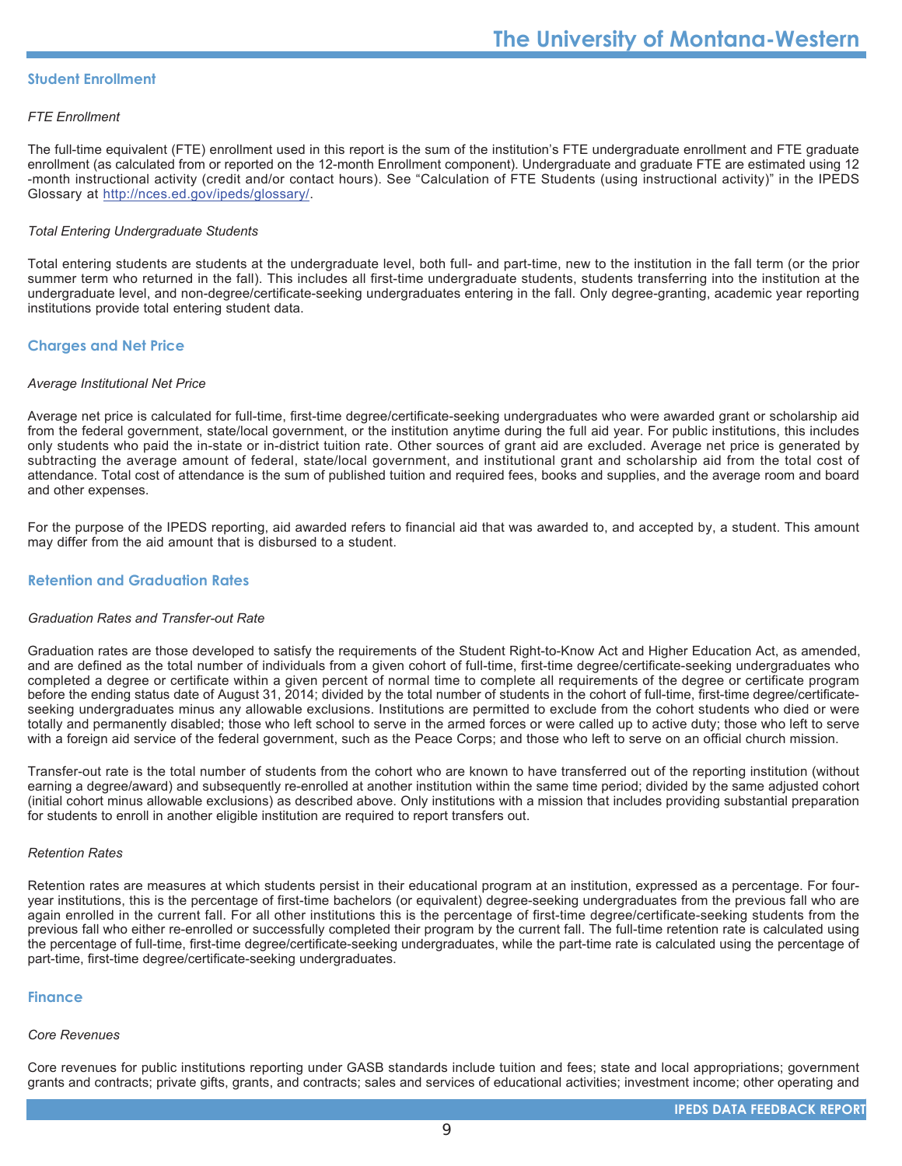#### **Student Enrollment**

#### **FTE Enrollment**

The full-time equivalent (FTE) enrollment used in this report is the sum of the institution's FTE undergraduate enrollment and FTE graduate enrollment (as calculated from or reported on the 12-month Enrollment component). Undergraduate and graduate FTE are estimated using 12 -month instructional activity (credit and/or contact hours). See "Calculation of FTE Students (using instructional activity)" in the IPEDS Glossary at http://nces.ed.gov/ipeds/glossary/.

#### **Total Entering Undergraduate Students**

Total entering students are students at the undergraduate level, both full- and part-time, new to the institution in the fall term (or the prior summer term who returned in the fall). This includes all first-time undergraduate students, students transferring into the institution at the undergraduate level, and non-degree/certificate-seeking undergraduates entering in the fall. Only degree-granting, academic year reporting institutions provide total entering student data.

#### **Charges and Net Price**

#### **Average Institutional Net Price**

Average net price is calculated for full-time, first-time degree/certificate-seeking undergraduates who were awarded grant or scholarship aid from the federal government, state/local government, or the institution anytime during the full aid year. For public institutions, this includes only students who paid the in-state or in-district tuition rate. Other sources of grant aid are excluded. Average net price is generated by subtracting the average amount of federal, state/local government, and institutional grant and scholarship aid from the total cost of attendance. Total cost of attendance is the sum of published tuition and required fees, books and supplies, and the average room and board and other expenses.

For the purpose of the IPEDS reporting, aid awarded refers to financial aid that was awarded to, and accepted by, a student. This amount may differ from the aid amount that is disbursed to a student.

#### **Retention and Graduation Rates**

#### **Graduation Rates and Transfer-out Rate**

Graduation rates are those developed to satisfy the requirements of the Student Right-to-Know Act and Higher Education Act, as amended, and are defined as the total number of individuals from a given cohort of full-time, first-time degree/certificate-seeking undergraduates who completed a degree or certificate within a given percent of normal time to complete all requirements of the degree or certificate program before the ending status date of August 31, 2014; divided by the total number of students in the cohort of full-time, first-time degree/certificateseeking undergraduates minus any allowable exclusions. Institutions are permitted to exclude from the cohort students who died or were totally and permanently disabled; those who left school to serve in the armed forces or were called up to active duty; those who left to serve with a foreign aid service of the federal government, such as the Peace Corps; and those who left to serve on an official church mission.

Transfer-out rate is the total number of students from the cohort who are known to have transferred out of the reporting institution (without earning a degree/award) and subsequently re-enrolled at another institution within the same time period; divided by the same adjusted cohort (initial cohort minus allowable exclusions) as described above. Only institutions with a mission that includes providing substantial preparation for students to enroll in another eligible institution are required to report transfers out.

#### **Retention Rates**

Retention rates are measures at which students persist in their educational program at an institution, expressed as a percentage. For fouryear institutions, this is the percentage of first-time bachelors (or equivalent) degree-seeking undergraduates from the previous fall who are again enrolled in the current fall. For all other institutions this is the percentage of first-time degree/certificate-seeking students from the previous fall who either re-enrolled or successfully completed their program by the current fall. The full-time retention rate is calculated using the percentage of full-time, first-time degree/certificate-seeking undergraduates, while the part-time rate is calculated using the percentage of part-time, first-time degree/certificate-seeking undergraduates.

#### **Finance**

#### **Core Revenues**

Core revenues for public institutions reporting under GASB standards include tuition and fees; state and local appropriations; government grants and contracts; private gifts, grants, and contracts; sales and services of educational activities; investment income; other operating and